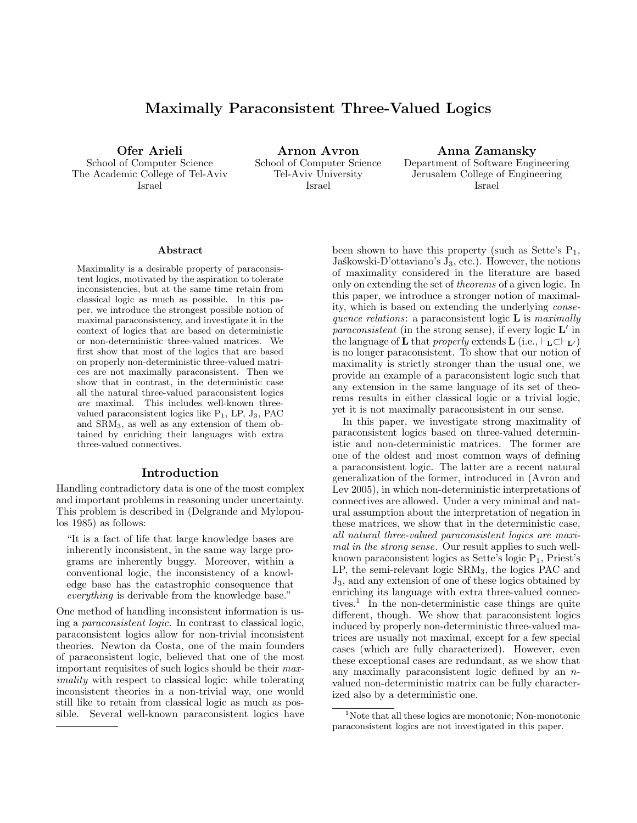# Maximally Paraconsistent Three-Valued Logics

Ofer Arieli School of Computer Science The Academic College of Tel-Aviv Israel

Arnon Avron School of Computer Science Tel-Aviv University Israel

Anna Zamansky Department of Software Engineering Jerusalem College of Engineering Israel

#### Abstract

Maximality is a desirable property of paraconsistent logics, motivated by the aspiration to tolerate inconsistencies, but at the same time retain from classical logic as much as possible. In this paper, we introduce the strongest possible notion of maximal paraconsistency, and investigate it in the context of logics that are based on deterministic or non-deterministic three-valued matrices. We first show that most of the logics that are based on properly non-deterministic three-valued matrices are not maximally paraconsistent. Then we show that in contrast, in the deterministic case all the natural three-valued paraconsistent logics are maximal. This includes well-known threevalued paraconsistent logics like  $P_1$ , LP,  $J_3$ , PAC and SRM3, as well as any extension of them obtained by enriching their languages with extra three-valued connectives.

### Introduction

Handling contradictory data is one of the most complex and important problems in reasoning under uncertainty. This problem is described in (Delgrande and Mylopoulos 1985) as follows:

"It is a fact of life that large knowledge bases are inherently inconsistent, in the same way large programs are inherently buggy. Moreover, within a conventional logic, the inconsistency of a knowledge base has the catastrophic consequence that everything is derivable from the knowledge base."

One method of handling inconsistent information is using a paraconsistent logic. In contrast to classical logic, paraconsistent logics allow for non-trivial inconsistent theories. Newton da Costa, one of the main founders of paraconsistent logic, believed that one of the most important requisites of such logics should be their maximality with respect to classical logic: while tolerating inconsistent theories in a non-trivial way, one would still like to retain from classical logic as much as possible. Several well-known paraconsistent logics have

been shown to have this property (such as Sette's  $P_1$ , Jaskowski-D'ottaviano's  $J_3$ , etc.). However, the notions of maximality considered in the literature are based only on extending the set of theorems of a given logic. In this paper, we introduce a stronger notion of maximality, which is based on extending the underlying consequence relations: a paraconsistent logic  $\bf{L}$  is maximally *paraconsistent* (in the strong sense), if every logic  $\mathbf{L}'$  in the language of **L** that *properly* extends **L** (i.e.,  $\vdash_L \subset \vdash_{L'}$ ) is no longer paraconsistent. To show that our notion of maximality is strictly stronger than the usual one, we provide an example of a paraconsistent logic such that any extension in the same language of its set of theorems results in either classical logic or a trivial logic, yet it is not maximally paraconsistent in our sense.

In this paper, we investigate strong maximality of paraconsistent logics based on three-valued deterministic and non-deterministic matrices. The former are one of the oldest and most common ways of defining a paraconsistent logic. The latter are a recent natural generalization of the former, introduced in (Avron and Lev 2005), in which non-deterministic interpretations of connectives are allowed. Under a very minimal and natural assumption about the interpretation of negation in these matrices, we show that in the deterministic case, all natural three-valued paraconsistent logics are maximal in the strong sense. Our result applies to such wellknown paraconsistent logics as Sette's logic  $P_1$ , Priest's LP, the semi-relevant logic SRM3, the logics PAC and J3, and any extension of one of these logics obtained by enriching its language with extra three-valued connectives.<sup>1</sup> In the non-deterministic case things are quite different, though. We show that paraconsistent logics induced by properly non-deterministic three-valued matrices are usually not maximal, except for a few special cases (which are fully characterized). However, even these exceptional cases are redundant, as we show that any maximally paraconsistent logic defined by an nvalued non-deterministic matrix can be fully characterized also by a deterministic one.

<sup>&</sup>lt;sup>1</sup>Note that all these logics are monotonic; Non-monotonic paraconsistent logics are not investigated in this paper.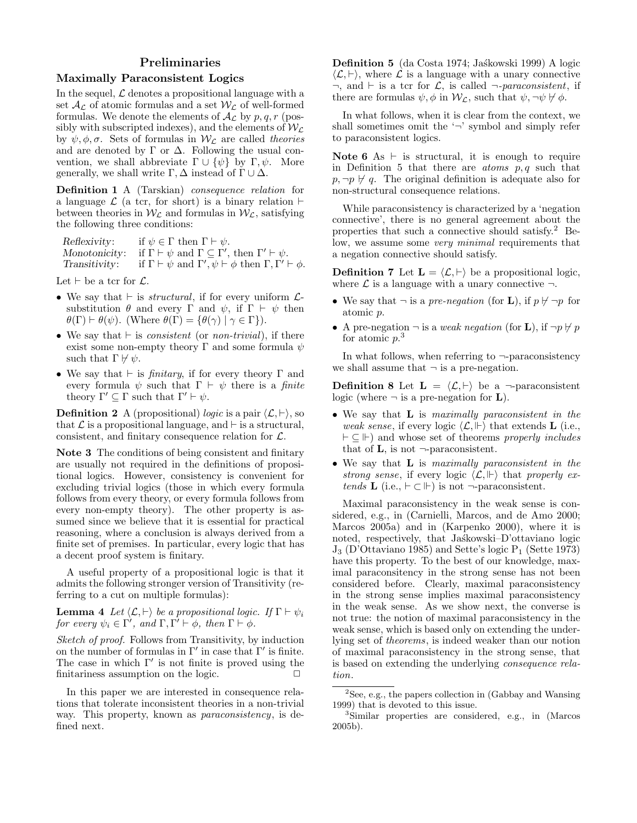# Preliminaries

### Maximally Paraconsistent Logics

In the sequel,  $\mathcal L$  denotes a propositional language with a set  $\mathcal{A}_{\mathcal{L}}$  of atomic formulas and a set  $\mathcal{W}_{\mathcal{L}}$  of well-formed formulas. We denote the elements of  $\mathcal{A}_{\mathcal{L}}$  by  $p, q, r$  (possibly with subscripted indexes), and the elements of  $W_L$ by  $\psi, \phi, \sigma$ . Sets of formulas in  $\mathcal{W}_c$  are called theories and are denoted by  $\Gamma$  or  $\Delta$ . Following the usual convention, we shall abbreviate  $\Gamma \cup {\psi}$  by  $\Gamma, \psi$ . More generally, we shall write  $\Gamma$ ,  $\Delta$  instead of  $\Gamma \cup \Delta$ .

Definition 1 A (Tarskian) consequence relation for a language  $\mathcal L$  (a tcr, for short) is a binary relation  $\vdash$ between theories in  $W_{\mathcal{L}}$  and formulas in  $W_{\mathcal{L}}$ , satisfying the following three conditions:

| Reflexivity:  | if $\psi \in \Gamma$ then $\Gamma \vdash \psi$ .                                             |
|---------------|----------------------------------------------------------------------------------------------|
| Monotonicity: | if $\Gamma \vdash \psi$ and $\Gamma \subseteq \Gamma'$ , then $\Gamma' \vdash \psi$ .        |
| Transitivity: | if $\Gamma \vdash \psi$ and $\Gamma', \psi \vdash \phi$ then $\Gamma, \Gamma' \vdash \phi$ . |

Let  $\vdash$  be a tcr for  $\mathcal{L}$ .

- We say that  $\vdash$  is *structural*, if for every uniform  $\mathcal{L}$ substitution  $\theta$  and every Γ and  $\psi$ , if  $\Gamma \vdash \psi$  then  $\theta(\Gamma) \vdash \theta(\psi)$ . (Where  $\theta(\Gamma) = {\theta(\gamma) | \gamma \in \Gamma}.$
- We say that  $\vdash$  is *consistent* (or *non-trivial*), if there exist some non-empty theory Γ and some formula  $\psi$ such that  $\Gamma \not\vdash \psi$ .
- We say that  $\vdash$  is *finitary*, if for every theory  $\Gamma$  and every formula  $\psi$  such that  $\Gamma \vdash \psi$  there is a *finite* theory  $\Gamma' \subseteq \Gamma$  such that  $\Gamma' \vdash \psi$ .

**Definition 2** A (propositional) *logic* is a pair  $\langle \mathcal{L}, \vdash \rangle$ , so that  $\mathcal L$  is a propositional language, and  $\vdash$  is a structural, consistent, and finitary consequence relation for  $\mathcal{L}$ .

Note 3 The conditions of being consistent and finitary are usually not required in the definitions of propositional logics. However, consistency is convenient for excluding trivial logics (those in which every formula follows from every theory, or every formula follows from every non-empty theory). The other property is assumed since we believe that it is essential for practical reasoning, where a conclusion is always derived from a finite set of premises. In particular, every logic that has a decent proof system is finitary.

A useful property of a propositional logic is that it admits the following stronger version of Transitivity (referring to a cut on multiple formulas):

**Lemma 4** Let  $\langle \mathcal{L}, \vdash \rangle$  be a propositional logic. If  $\Gamma \vdash \psi_i$ for every  $\psi_i \in \Gamma'$ , and  $\Gamma, \Gamma' \vdash \phi$ , then  $\Gamma \vdash \phi$ .

Sketch of proof. Follows from Transitivity, by induction on the number of formulas in  $\Gamma'$  in case that  $\Gamma'$  is finite. The case in which  $\Gamma'$  is not finite is proved using the finitariness assumption on the logic.  $\Box$ 

In this paper we are interested in consequence relations that tolerate inconsistent theories in a non-trivial way. This property, known as paraconsistency, is defined next.

**Definition 5** (da Costa 1974; Jaskowski 1999) A logic  $\langle \mathcal{L}, \vdash \rangle$ , where  $\mathcal L$  is a language with a unary connective  $\neg$ , and  $\vdash$  is a tcr for  $\mathcal{L}$ , is called  $\neg$ -paraconsistent, if there are formulas  $\psi$ ,  $\phi$  in  $\mathcal{W}_c$ , such that  $\psi$ ,  $\neg \psi \nvdash \phi$ .

In what follows, when it is clear from the context, we shall sometimes omit the  $\sim$  symbol and simply refer to paraconsistent logics.

Note 6 As  $\vdash$  is structural, it is enough to require in Definition 5 that there are *atoms*  $p, q$  such that  $p, \neg p \nleftrightarrow q$ . The original definition is adequate also for non-structural consequence relations.

While paraconsistency is characterized by a 'negation connective', there is no general agreement about the properties that such a connective should satisfy.<sup>2</sup> Below, we assume some *very minimal* requirements that a negation connective should satisfy.

**Definition 7** Let  $\mathbf{L} = \langle \mathcal{L}, \vdash \rangle$  be a propositional logic, where  $\mathcal L$  is a language with a unary connective  $\neg$ .

- We say that  $\neg$  is a pre-negation (for **L**), if  $p \nvdash \neg p$  for atomic p.
- A pre-negation  $\neg$  is a *weak negation* (for **L**), if  $\neg p \nvdash p$ for atomic  $p^3$ .

In what follows, when referring to  $\neg$ -paraconsistency we shall assume that  $\neg$  is a pre-negation.

**Definition 8** Let  $\mathbf{L} = \langle \mathcal{L}, \vdash \rangle$  be a  $\neg$ -paraconsistent logic (where  $\neg$  is a pre-negation for **L**).

- We say that L is maximally paraconsistent in the weak sense, if every logic  $\langle \mathcal{L}, \Vdash \rangle$  that extends **L** (i.e.,  $\vdash \subseteq \Vdash$  and whose set of theorems properly includes that of  $\mathbf{L}$ , is not  $\neg$ -paraconsistent.
- We say that **L** is maximally paraconsistent in the strong sense, if every logic  $\langle \mathcal{L}, \Vdash \rangle$  that properly extends **L** (i.e.,  $\vdash \subset \Vdash$ ) is not  $\neg$ -paraconsistent.

Maximal paraconsistency in the weak sense is considered, e.g., in (Carnielli, Marcos, and de Amo 2000; Marcos 2005a) and in (Karpenko 2000), where it is noted, respectively, that Jaskowski–D'ottaviano logic  $J_3$  (D'Ottaviano 1985) and Sette's logic  $P_1$  (Sette 1973) have this property. To the best of our knowledge, maximal paraconsitency in the strong sense has not been considered before. Clearly, maximal paraconsistency in the strong sense implies maximal paraconsistency in the weak sense. As we show next, the converse is not true: the notion of maximal paraconsistency in the weak sense, which is based only on extending the underlying set of theorems, is indeed weaker than our notion of maximal paraconsistency in the strong sense, that is based on extending the underlying consequence relation.

 ${}^{2}$ See, e.g., the papers collection in (Gabbay and Wansing) 1999) that is devoted to this issue.

<sup>3</sup>Similar properties are considered, e.g., in (Marcos 2005b).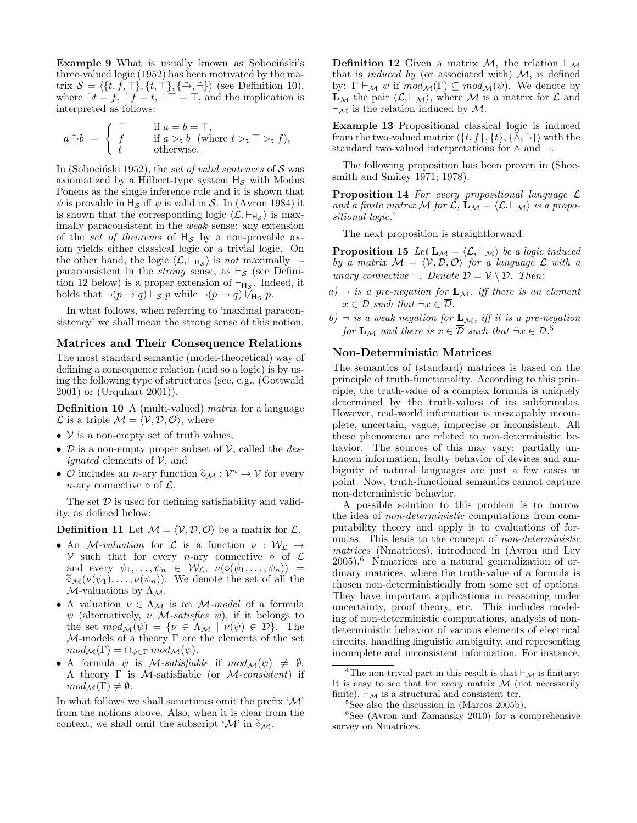Example 9 What is usually known as Sobocinski's three-valued logic (1952) has been motivated by the matrix  $S = \langle \{t, f, \top\}, \{t, \top\}, \{\tilde{\rightarrow}, \tilde{\neg}\}\rangle$  (see Definition 10), where  $\tilde{\neg} t = f$ ,  $\tilde{\neg} f = t$ ,  $\tilde{\neg} \top = \top$ , and the implication is interpreted as follows:

$$
a \tilde{\rightarrow} b = \begin{cases} \top & \text{if } a = b = \top, \\ f & \text{if } a >_t b \text{ (where } t >_t \top >_t f), \\ t & \text{otherwise.} \end{cases}
$$

In (Sobociński 1952), the set of valid sentences of  $S$  was axiomatized by a Hilbert-type system  $H_{\mathcal{S}}$  with Modus Ponens as the single inference rule and it is shown that  $\psi$  is provable in  $H_{\mathcal{S}}$  iff  $\psi$  is valid in S. In (Avron 1984) it is shown that the corresponding logic  $\langle \mathcal{L}, \vdash_{H_{\mathcal{S}}} \rangle$  is maximally paraconsistent in the weak sense: any extension of the set of theorems of  $H_S$  by a non-provable axiom yields either classical logic or a trivial logic. On the other hand, the logic  $\langle \mathcal{L}, \vdash_{H_{\mathcal{S}}} \rangle$  is not maximally  $\neg$ paraconsistent in the *strong* sense, as  $\vdash_S$  (see Definition 12 below) is a proper extension of  $\vdash_{H_S}$ . Indeed, it holds that  $\neg(p \rightarrow q) \vdash_{\mathcal{S}} p$  while  $\neg(p \rightarrow q) \not\vdash_{\mathsf{H}_{\mathcal{S}}} p$ .

In what follows, when referring to 'maximal paraconsistency' we shall mean the strong sense of this notion.

### Matrices and Their Consequence Relations

The most standard semantic (model-theoretical) way of defining a consequence relation (and so a logic) is by using the following type of structures (see, e.g., (Gottwald 2001) or (Urquhart 2001)).

Definition 10 A (multi-valued) matrix for a language  $\mathcal L$  is a triple  $\mathcal M = \langle \mathcal V, \mathcal D, \mathcal O \rangle$ , where

- $V$  is a non-empty set of truth values,
- $\mathcal D$  is a non-empty proper subset of  $\mathcal V$ , called the *designated* elements of  $V$ , and
- $\mathcal{O}$  includes an *n*-ary function  $\widetilde{\diamond}_{\mathcal{M}} : \mathcal{V}^n \to \mathcal{V}$  for every *n*-ary connective  $\widehat{\diamond}$  of  $\mathcal{C}$ n-ary connective  $\diamond$  of  $\mathcal{L}$ .

The set  $\mathcal D$  is used for defining satisfiability and validity, as defined below:

**Definition 11** Let  $M = \langle V, \mathcal{D}, \mathcal{O} \rangle$  be a matrix for  $\mathcal{L}$ .

- An *M*-valuation for  $\mathcal{L}$  is a function  $\nu : \mathcal{W}_\mathcal{L} \to$ V such that for every *n*-ary connective  $\diamond$  of  $\mathcal{L}$ and every  $\psi_1, \ldots, \psi_n \in \mathcal{W}_\mathcal{L}, \nu(\diamond(\psi_1, \ldots, \psi_n)) =$  $\widetilde{\diamond}_{\mathcal{M}}(\nu(\psi_1), \ldots, \nu(\psi_n)).$  We denote the set of all the  $\mathcal{M}\text{-valuations by }\Lambda_{\mathcal{M}}.$
- A valuation  $\nu \in \Lambda_{\mathcal{M}}$  is an *M-model* of a formula  $\psi$  (alternatively,  $\nu$  *M*-satisfies  $\psi$ ), if it belongs to the set  $mod_{\mathcal{M}}(\psi) = \{ \nu \in \Lambda_{\mathcal{M}} \mid \nu(\psi) \in \mathcal{D} \}.$  The  $M$ -models of a theory  $\Gamma$  are the elements of the set  $mod_{\mathcal{M}}(\Gamma) = \cap_{\psi \in \Gamma} mod_{\mathcal{M}}(\psi).$
- A formula  $\psi$  is *M*-satisfiable if  $mod_{\mathcal{M}}(\psi) \neq \emptyset$ . A theory  $\Gamma$  is *M*-satisfiable (or *M*-consistent) if  $mod_{\mathcal{M}}(\Gamma) \neq \emptyset$ .

In what follows we shall sometimes omit the prefix  $\mathcal{M}'$ from the notions above. Also, when it is clear from the context, we shall omit the subscript ' $\mathcal{M}$ ' in  $\widetilde{\diamond}_{\mathcal{M}}$ .

**Definition 12** Given a matrix M, the relation  $\vdash_{\mathcal{M}}$ that is *induced by* (or associated with)  $M$ , is defined by:  $\Gamma \vdash_{\mathcal{M}} \psi$  if  $mod_{\mathcal{M}}(\Gamma) \subseteq mod_{\mathcal{M}}(\psi)$ . We denote by  $\mathbf{L}_{\mathcal{M}}$  the pair  $\langle \mathcal{L}, \vdash_{\mathcal{M}} \rangle$ , where M is a matrix for  $\mathcal{L}$  and  $\vdash_{\mathcal{M}}$  is the relation induced by M.

Example 13 Propositional classical logic is induced from the two-valued matrix  $\langle \{t, f\}, \{t\}, \{\tilde{\wedge}, \tilde{\neg}\}\rangle$  with the standard two-valued interpretations for  $\land$  and  $\neg$ .

The following proposition has been proven in (Shoesmith and Smiley 1971; 1978).

**Proposition 14** For every propositional language  $\mathcal{L}$ and a finite matrix M for  $\mathcal{L}, \mathbf{L}_{\mathcal{M}} = \langle \mathcal{L}, \vdash_{\mathcal{M}} \rangle$  is a propositional logic.<sup>4</sup>

The next proposition is straightforward.

**Proposition 15** Let  $\mathbf{L}_{\mathcal{M}} = \langle \mathcal{L}, \vdash_{\mathcal{M}} \rangle$  be a logic induced by a matrix  $\mathcal{M} = \langle \mathcal{V}, \mathcal{D}, \mathcal{O} \rangle$  for a language  $\mathcal L$  with a unary connective  $\neg$ . Denote  $\overline{\mathcal{D}} = \mathcal{V} \setminus \mathcal{D}$ . Then:

- a)  $\neg$  is a pre-negation for  $\mathbf{L}_{\mathcal{M}}$ , iff there is an element  $x \in \mathcal{D}$  such that  $\tilde{\neg} x \in \overline{\mathcal{D}}$ .
- b)  $\neg$  is a weak negation for  $\mathbf{L}_{\mathcal{M}}$ , iff it is a pre-negation for  $\mathbf{L}_{\mathcal{M}}$  and there is  $x \in \overline{\mathcal{D}}$  such that  $\tilde{\neg} x \in \mathcal{D}$ .<sup>5</sup>

#### Non-Deterministic Matrices

The semantics of (standard) matrices is based on the principle of truth-functionality. According to this principle, the truth-value of a complex formula is uniquely determined by the truth-values of its subformulas. However, real-world information is inescapably incomplete, uncertain, vague, imprecise or inconsistent. All these phenomena are related to non-deterministic behavior. The sources of this may vary: partially unknown information, faulty behavior of devices and ambiguity of natural languages are just a few cases in point. Now, truth-functional semantics cannot capture non-deterministic behavior.

A possible solution to this problem is to borrow the idea of non-deterministic computations from computability theory and apply it to evaluations of formulas. This leads to the concept of non-deterministic matrices (Nmatrices), introduced in (Avron and Lev 2005).<sup>6</sup> Nmatrices are a natural generalization of ordinary matrices, where the truth-value of a formula is chosen non-deterministically from some set of options. They have important applications in reasoning under uncertainty, proof theory, etc. This includes modeling of non-deterministic computations, analysis of nondeterministic behavior of various elements of electrical circuits, handling linguistic ambiguity, and representing incomplete and inconsistent information. For instance,

<sup>&</sup>lt;sup>4</sup>The non-trivial part in this result is that  $\vdash_{\mathcal{M}}$  is finitary; It is easy to see that for *every* matrix  $M$  (not necessarily finite),  $\vdash_{\mathcal{M}}$  is a structural and consistent tcr.

 ${}^{5}$ See also the discussion in (Marcos 2005b).

 ${}^{6}$ See (Avron and Zamansky 2010) for a comprehensive survey on Nmatrices.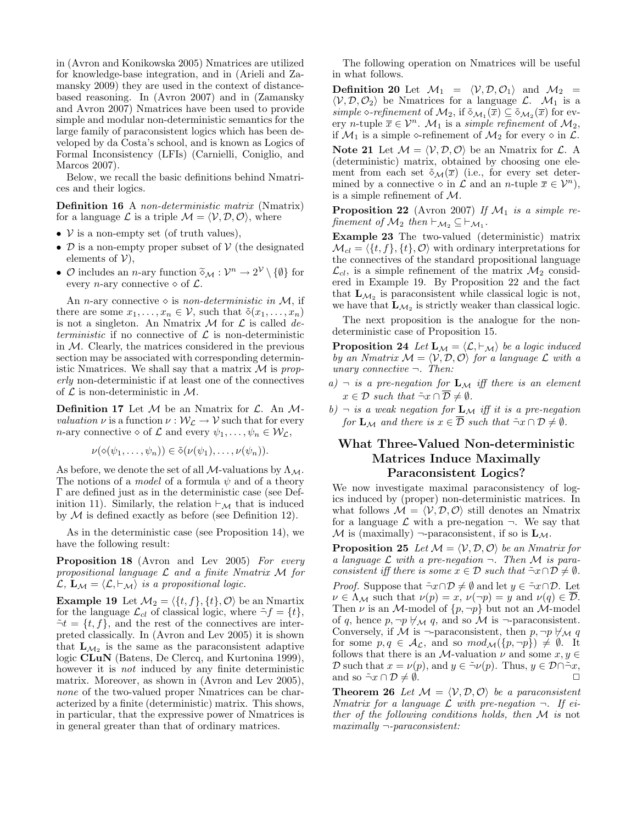in (Avron and Konikowska 2005) Nmatrices are utilized for knowledge-base integration, and in (Arieli and Zamansky 2009) they are used in the context of distancebased reasoning. In (Avron 2007) and in (Zamansky and Avron 2007) Nmatrices have been used to provide simple and modular non-deterministic semantics for the large family of paraconsistent logics which has been developed by da Costa's school, and is known as Logics of Formal Inconsistency (LFIs) (Carnielli, Coniglio, and Marcos 2007).

Below, we recall the basic definitions behind Nmatrices and their logics.

Definition 16 A non-deterministic matrix (Nmatrix) for a language  $\mathcal L$  is a triple  $\mathcal M = \langle \mathcal V, \mathcal D, \mathcal O \rangle$ , where

- $V$  is a non-empty set (of truth values),
- $\mathcal D$  is a non-empty proper subset of  $\mathcal V$  (the designated elements of  $V$ ),
- $\mathcal{O}$  includes an *n*-ary function  $\widetilde{\diamond}_{\mathcal{M}} : \mathcal{V}^n \to 2^{\mathcal{V}} \setminus \{\emptyset\}$  for every *n*-ary connective  $\widehat{\diamond}$  of  $\widehat{\mathcal{C}}$ every *n*-ary connective  $\diamond$  of  $\mathcal{L}$ .

An *n*-ary connective  $\diamond$  is *non-deterministic in M*, if there are some  $x_1, \ldots, x_n \in \mathcal{V}$ , such that  $\tilde{\diamond}(x_1, \ldots, x_n)$ is not a singleton. An Nmatrix  $\mathcal M$  for  $\mathcal L$  is called deterministic if no connective of  $\mathcal L$  is non-deterministic in  $M$ . Clearly, the matrices considered in the previous section may be associated with corresponding deterministic Nmatrices. We shall say that a matrix  $\mathcal M$  is properly non-deterministic if at least one of the connectives of  $\mathcal L$  is non-deterministic in  $\mathcal M$ .

**Definition 17** Let  $M$  be an Nmatrix for  $\mathcal{L}$ . An  $M$ valuation  $\nu$  is a function  $\nu : \mathcal{W}_{\mathcal{L}} \to \mathcal{V}$  such that for every *n*-ary connective  $\diamond$  of  $\mathcal L$  and every  $\psi_1, \ldots, \psi_n \in \mathcal W_{\mathcal L}$ ,

$$
\nu(\diamond(\psi_1,\ldots,\psi_n))\in\tilde{\diamond}(\nu(\psi_1),\ldots,\nu(\psi_n)).
$$

As before, we denote the set of all  $M$ -valuations by  $\Lambda_M$ . The notions of a *model* of a formula  $\psi$  and of a theory Γ are defined just as in the deterministic case (see Definition 11). Similarly, the relation  $\vdash_{\mathcal{M}}$  that is induced by  $M$  is defined exactly as before (see Definition 12).

As in the deterministic case (see Proposition 14), we have the following result:

Proposition 18 (Avron and Lev 2005) For every propositional language  $\mathcal L$  and a finite Nmatrix  $\mathcal M$  for  $\mathcal{L}, \mathbf{L}_M = \langle \mathcal{L}, \vdash_M \rangle$  is a propositional logic.

**Example 19** Let  $\mathcal{M}_2 = \{\{t, f\}, \{t\}, \emptyset\}$  be an Nmartix for the language  $\mathcal{L}_{cl}$  of classical logic, where  $\tilde{\neg} f = \{t\},\$  $\tilde{\neg} t = \{t, f\}$ , and the rest of the connectives are interpreted classically. In (Avron and Lev 2005) it is shown that  $\mathbf{L}_{\mathcal{M}_2}$  is the same as the paraconsistent adaptive logic CLuN (Batens, De Clercq, and Kurtonina 1999), however it is *not* induced by any finite deterministic matrix. Moreover, as shown in (Avron and Lev 2005), none of the two-valued proper Nmatrices can be characterized by a finite (deterministic) matrix. This shows, in particular, that the expressive power of Nmatrices is in general greater than that of ordinary matrices.

The following operation on Nmatrices will be useful in what follows.

**Definition 20** Let  $\mathcal{M}_1 = \langle \mathcal{V}, \mathcal{D}, \mathcal{O}_1 \rangle$  and  $\mathcal{M}_2 =$  $\langle V, \mathcal{D}, \mathcal{O}_2 \rangle$  be Nmatrices for a language  $\mathcal{L}$ .  $\mathcal{M}_1$  is a simple  $\diamond$ -refinement of  $\mathcal{M}_2$ , if  $\tilde{\diamond}_{\mathcal{M}_1}(\overline{x}) \subseteq \tilde{\diamond}_{\mathcal{M}_2}(\overline{x})$  for every *n*-tuple  $\overline{x} \in \mathcal{V}^n$ .  $\mathcal{M}_1$  is a *simple refinement* of  $\mathcal{M}_2$ , if  $\mathcal{M}_1$  is a simple  $\diamond$ -refinement of  $\mathcal{M}_2$  for every  $\diamond$  in  $\mathcal{L}$ .

**Note 21** Let  $M = \langle V, \mathcal{D}, \mathcal{O} \rangle$  be an Nmatrix for  $\mathcal{L}$ . A (deterministic) matrix, obtained by choosing one element from each set  $\tilde{\diamond}_{\mathcal{M}}(\overline{x})$  (i.e., for every set determined by a connective  $\diamond$  in  $\mathcal L$  and an *n*-tuple  $\overline{x} \in \mathcal V^n$ , is a simple refinement of M.

**Proposition 22** (Avron 2007) If  $\mathcal{M}_1$  is a simple refinement of  $\mathcal{M}_2$  then  $\vdash_{\mathcal{M}_2} \subseteq \vdash_{\mathcal{M}_1}$ .

Example 23 The two-valued (deterministic) matrix  $\mathcal{M}_{cl} = \{\{t, f\}, \{t\}, \emptyset \}$  with ordinary interpretations for the connectives of the standard propositional language  $\mathcal{L}_{cl}$ , is a simple refinement of the matrix  $\mathcal{M}_2$  considered in Example 19. By Proposition 22 and the fact that  $\mathbf{L}_{\mathcal{M}_2}$  is paraconsistent while classical logic is not, we have that  $\mathbf{L}_{\mathcal{M}_2}$  is strictly weaker than classical logic.

The next proposition is the analogue for the nondeterministic case of Proposition 15.

**Proposition 24** Let  $\mathbf{L}_{\mathcal{M}} = \langle \mathcal{L}, \vdash_{\mathcal{M}} \rangle$  be a logic induced by an Nmatrix  $M = \langle V, D, O \rangle$  for a language L with a unary connective  $\neg$ . Then:

- a)  $\neg$  is a pre-negation for  $\mathbf{L}_{\mathcal{M}}$  iff there is an element  $x \in \mathcal{D}$  such that  $\tilde{\neg} x \cap \overline{\mathcal{D}} \neq \emptyset$ .
- b)  $\neg$  is a weak negation for  $\mathbf{L}_{\mathcal{M}}$  iff it is a pre-negation for  $\mathbf{L}_M$  and there is  $x \in \overline{\mathcal{D}}$  such that  $\tilde{\neg} x \cap \mathcal{D} \neq \emptyset$ .

# What Three-Valued Non-deterministic Matrices Induce Maximally Paraconsistent Logics?

We now investigate maximal paraconsistency of logics induced by (proper) non-deterministic matrices. In what follows  $\mathcal{M} = \langle \mathcal{V}, \mathcal{D}, \mathcal{O} \rangle$  still denotes an Nmatrix for a language  $\mathcal L$  with a pre-negation  $\neg$ . We say that  $\mathcal M$  is (maximally)  $\neg$ -paraconsistent, if so is  ${\bf L}_{\mathcal M}$ .

**Proposition 25** Let  $M = \langle V, D, O \rangle$  be an Nmatrix for a language  $\mathcal L$  with a pre-negation  $\neg$ . Then  $\mathcal M$  is paraconsistent iff there is some  $x \in \mathcal{D}$  such that  $\tilde{\neg} x \cap \mathcal{D} \neq \emptyset$ .

*Proof.* Suppose that  $\tilde{\neg} x \cap \mathcal{D} \neq \emptyset$  and let  $y \in \tilde{\neg} x \cap \mathcal{D}$ . Let  $\nu \in \Lambda_{\mathcal{M}}$  such that  $\nu(p) = x$ ,  $\nu(\neg p) = y$  and  $\nu(q) \in \mathcal{D}$ . Then  $\nu$  is an M-model of  $\{p, \neg p\}$  but not an M-model of q, hence  $p, \neg p \nleftrightarrow_M q$ , and so  $\mathcal M$  is  $\neg$ -paraconsistent. Conversely, if M is  $\neg$ -paraconsistent, then  $p, \neg p \not\vdash_{\mathcal{M}} q$ for some  $p, q \in A_{\mathcal{L}}$ , and so  $mod_{\mathcal{M}}(\lbrace p, \neg p \rbrace) \neq \emptyset$ . It follows that there is an M-valuation  $\nu$  and some  $x, y \in$ D such that  $x = \nu(p)$ , and  $y \in \tilde{\neg} \nu(p)$ . Thus,  $y \in \mathcal{D} \cap \tilde{\neg} x$ , and so  $\tilde{\neg} x \cap \mathcal{D} \neq \emptyset$ .

**Theorem 26** Let  $M = \langle V, D, O \rangle$  be a paraconsistent Nmatrix for a language  $\mathcal L$  with pre-negation  $\neg$ . If either of the following conditions holds, then  $M$  is not  $maximally$   $\lnot$ -paraconsistent: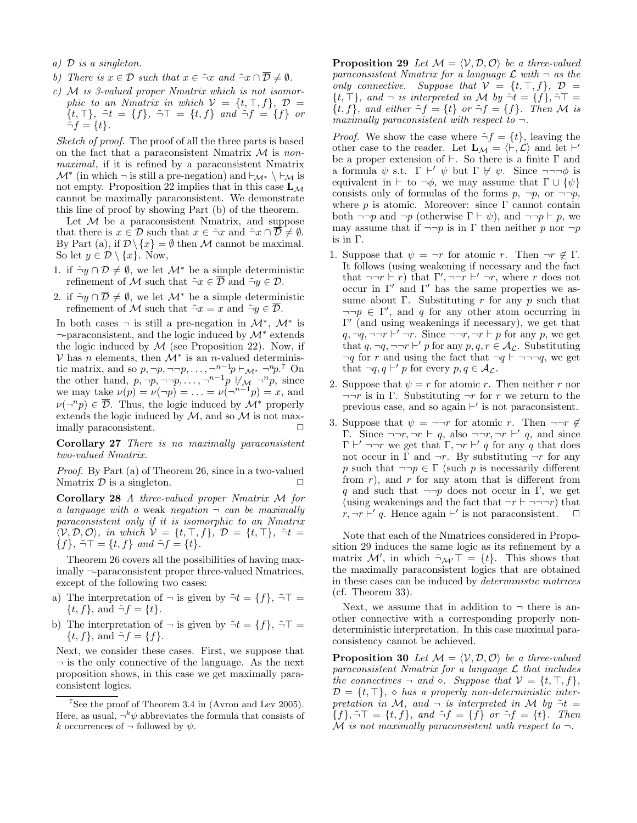- a) D is a singleton.
- b) There is  $x \in \mathcal{D}$  such that  $x \in \tilde{\neg}x$  and  $\tilde{\neg}x \cap \overline{\mathcal{D}} \neq \emptyset$ .
- $c)$  M is 3-valued proper Nmatrix which is not isomorphic to an Nmatrix in which  $V = \{t, \top, f\}$ ,  $\mathcal{D} =$  $\{t, \top\}, \tilde{\neg} t = \{f\}, \tilde{\neg} \top = \{t, f\} \text{ and } \tilde{\neg} f = \{f\} \text{ or }$  $\tilde{\neg} f = \{t\}.$

Sketch of proof. The proof of all the three parts is based on the fact that a paraconsistent Nmatrix  $\mathcal M$  is nonmaximal, if it is refined by a paraconsistent Nmatrix  $\mathcal{M}^*$  (in which  $\neg$  is still a pre-negation) and  $\vdash_{\mathcal{M}^*} \setminus \vdash_{\mathcal{M}}$  is not empty. Proposition 22 implies that in this case  $L_M$ cannot be maximally paraconsistent. We demonstrate this line of proof by showing Part (b) of the theorem.

Let  $M$  be a paraconsistent Nmatrix, and suppose that there is  $x \in \mathcal{D}$  such that  $x \in \tilde{\neg} x$  and  $\tilde{\neg} x \cap \mathcal{D} \neq \emptyset$ . By Part (a), if  $\mathcal{D}\setminus\{x\}=\emptyset$  then M cannot be maximal. So let  $y \in \mathcal{D} \setminus \{x\}$ . Now,

- 1. if  $\tilde{\neg} \nu \cap \mathcal{D} \neq \emptyset$ , we let  $\mathcal{M}^*$  be a simple deterministic refinement of M such that  $\tilde{\neg} x \in \overline{\mathcal{D}}$  and  $\tilde{\neg} y \in \mathcal{D}$ .
- 2. if  $\tilde{\neg} y \cap \overline{\mathcal{D}} \neq \emptyset$ , we let  $\mathcal{M}^*$  be a simple deterministic refinement of M such that  $\tilde{\neg} x = x$  and  $\tilde{\neg} y \in \overline{\mathcal{D}}$ .

In both cases  $\neg$  is still a pre-negation in  $\mathcal{M}^*$ ,  $\mathcal{M}^*$  is ¬-paraconsistent, and the logic induced by M<sup>∗</sup> extends the logic induced by  $\mathcal M$  (see Proposition 22). Now, if  $V$  has *n* elements, then  $\mathcal{M}^*$  is an *n*-valued deterministic matrix, and so  $p, \neg p, \neg \neg p, \ldots, \neg^{n-1}p \vdash_{\mathcal{M}^*} \neg^n p$ .<sup>7</sup> On the other hand,  $p, \neg p, \neg \neg p, \ldots, \neg^{n-1}p \not\vdash_{\mathcal{M}} \neg^{n}p$ , since we may take  $\nu(p) = \nu(\neg p) = \ldots = \nu(\neg^{n-1}p) = x$ , and  $\nu(\neg^n p) \in \overline{\mathcal{D}}$ . Thus, the logic induced by  $\mathcal{M}^*$  properly extends the logic induced by  $M$ , and so  $M$  is not maximally paraconsistent.

Corollary 27 There is no maximally paraconsistent two-valued Nmatrix.

Proof. By Part (a) of Theorem 26, since in a two-valued Nmatrix  $\mathcal D$  is a singleton.  $\Box$ 

Corollary 28 A three-valued proper Nmatrix M for a language with a weak negation  $\neg$  can be maximally paraconsistent only if it is isomorphic to an Nmatrix  $\langle V, \mathcal{D}, \mathcal{O} \rangle$ , in which  $V = \{t, \top, f\}$ ,  $\mathcal{D} = \{t, \top\}$ ,  $\tilde{\neg}t =$  ${f}, \tilde{\neg} \top = {t, f} \text{ and } \tilde{\neg} f = {t}.$ 

Theorem 26 covers all the possibilities of having maximally ¬-paraconsistent proper three-valued Nmatrices, except of the following two cases:

- a) The interpretation of  $\neg$  is given by  $\tilde{\neg} t = \{f\}, \tilde{\neg} \top =$  $\{t, f\}$ , and  $\tilde{\neg} f = \{t\}.$
- b) The interpretation of  $\neg$  is given by  $\tilde{\neg} t = \{f\}, \tilde{\neg} \top =$  $\{t, f\}$ , and  $\tilde{\neg} f = \{f\}$ .

Next, we consider these cases. First, we suppose that  $\neg$  is the only connective of the language. As the next proposition shows, in this case we get maximally paraconsistent logics.

**Proposition 29** Let  $M = \langle V, D, O \rangle$  be a three-valued paraconsistent Nmatrix for a language  $\mathcal L$  with  $\neg$  as the only connective. Suppose that  $V = \{t, \top, f\}$ ,  $D =$  $\{t, \tilde{\top}\}\$ , and  $\neg$  is interpreted in M by  $\tilde{\neg t} = \{f\}$ ,  $\tilde{\neg \top} = \{t\}$  ${t, f}$ , and either  $\tilde{\neg} f = {t}$  or  $\tilde{\neg} f = {f}$ . Then M is maximally paraconsistent with respect to  $\neg$ .

*Proof.* We show the case where  $\tilde{\neg} f = \{t\}$ , leaving the other case to the reader. Let  $\mathbf{L}_{\mathcal{M}} = \langle \vdash, \mathcal{L} \rangle$  and let  $\vdash'$ be a proper extension of  $\vdash$ . So there is a finite  $\Gamma$  and a formula  $\psi$  s.t.  $\Gamma \vdash' \psi$  but  $\Gamma \not \vdash' \psi$ . Since  $\neg \neg \neg \phi$  is equivalent in  $\vdash$  to  $\neg \phi$ , we may assume that  $\Gamma \cup {\psi}$ consists only of formulas of the forms  $p, \neg p,$  or  $\neg\neg p$ , where  $p$  is atomic. Moreover: since  $\Gamma$  cannot contain both  $\neg\neg p$  and  $\neg p$  (otherwise  $\Gamma \vdash \psi$ ), and  $\neg\neg p \vdash p$ , we may assume that if  $\neg\neg p$  is in  $\Gamma$  then neither p nor  $\neg p$ is in Γ.

- 1. Suppose that  $\psi = \neg r$  for atomic r. Then  $\neg r \notin \Gamma$ . It follows (using weakening if necessary and the fact that  $\neg\neg r \vdash r$ ) that  $\Gamma', \neg\neg r \vdash' \neg r$ , where r does not occur in  $\Gamma'$  and  $\Gamma'$  has the same properties we assume about Γ. Substituting r for any p such that  $\neg\neg p \in \Gamma'$ , and q for any other atom occurring in  $\Gamma'$  (and using weakenings if necessary), we get that  $q, \neg q, \neg \neg r \vdash' \neg r$ . Since  $\neg \neg r, \neg r \vdash p$  for any p, we get that  $q, \neg q, \neg \neg r \vdash' p$  for any  $p, q, r \in A_{\mathcal{L}}$ . Substituting  $\neg q$  for r and using the fact that  $\neg q \vdash \neg \neg \neg q$ , we get that  $\neg q, q \vdash' p$  for every  $p, q \in A_{\mathcal{L}}$ .
- 2. Suppose that  $\psi = r$  for atomic r. Then neither r nor  $\neg\neg r$  is in Γ. Substituting  $\neg r$  for r we return to the previous case, and so again  $\vdash'$  is not paraconsistent.
- 3. Suppose that  $\psi = \neg \neg r$  for atomic r. Then  $\neg \neg r \notin$ Γ. Since  $\neg\neg r, \neg r \vdash q$ , also  $\neg\neg r, \neg r \vdash' q$ , and since  $\Gamma \vdash' \neg \neg r$  we get that  $\Gamma, \neg r \vdash' q$  for any q that does not occur in  $\Gamma$  and  $\neg r$ . By substituting  $\neg r$  for any p such that  $\neg\neg p \in \Gamma$  (such p is necessarily different from  $r$ ), and  $r$  for any atom that is different from q and such that  $\neg\neg p$  does not occur in Γ, we get (using weakenings and the fact that  $\neg r \vdash \neg \neg \neg r$ ) that  $r, \neg r \vdash' q$ . Hence again  $\vdash'$  is not paraconsistent.  $\Box$

Note that each of the Nmatrices considered in Proposition 29 induces the same logic as its refinement by a matrix  $\mathcal{M}'$ , in which  $\tilde{\neg}_{\mathcal{M}'} \top = \{t\}$ . This shows that the maximally paraconsistent logics that are obtained in these cases can be induced by deterministic matrices (cf. Theorem 33).

Next, we assume that in addition to  $\neg$  there is another connective with a corresponding properly nondeterministic interpretation. In this case maximal paraconsistency cannot be achieved.

**Proposition 30** Let  $\mathcal{M} = \langle \mathcal{V}, \mathcal{D}, \mathcal{O} \rangle$  be a three-valued paraconsistent Nmatrix for a language  $\mathcal L$  that includes the connectives  $\neg$  and  $\Diamond$ . Suppose that  $\mathcal{V} = \{t, \top, f\},\$  $\mathcal{D} = \{t, \top\}, \diamond$  has a properly non-deterministic interpretation in M, and  $\neg$  is interpreted in M by  $\tilde{\neg} t =$  ${f}, \tilde{\neg} \top = {t, f}, \text{ and } \tilde{\neg} f = {f} \text{ or } \tilde{\neg} f = {t}. \text{ Then}$ M is not maximally paraconsistent with respect to  $\neg$ .

<sup>&</sup>lt;sup>7</sup>See the proof of Theorem 3.4 in (Avron and Lev 2005). Here, as usual,  $\neg^k \psi$  abbreviates the formula that consists of k occurrences of  $\neg$  followed by  $\psi$ .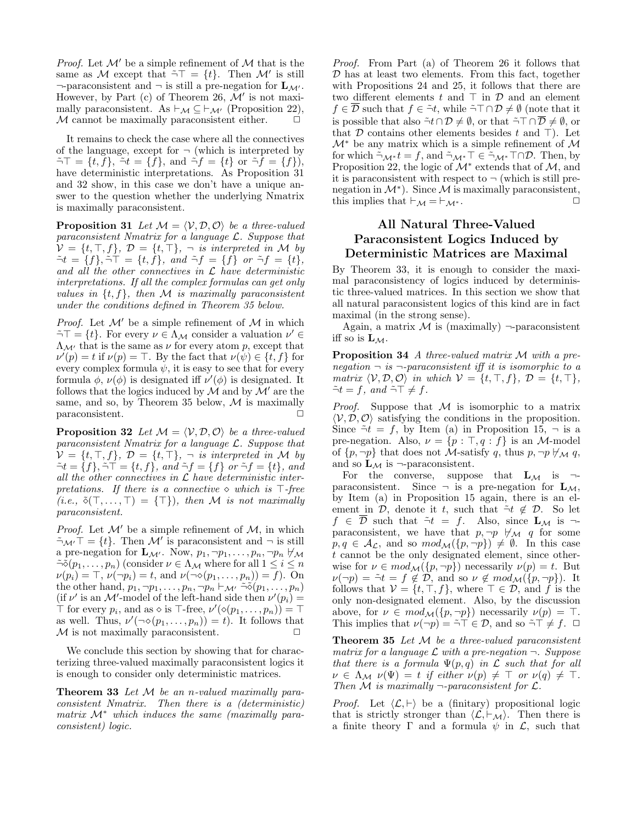*Proof.* Let  $\mathcal{M}'$  be a simple refinement of  $\mathcal M$  that is the same as M except that  $\tilde{\neg}T = \{t\}$ . Then M' is still  $\neg$ -paraconsistent and  $\neg$  is still a pre-negation for  $\mathbf{L}_{\mathcal{M}'}$ . However, by Part (c) of Theorem 26,  $\mathcal{M}'$  is not maximally paraconsistent. As  $\vdash_{\mathcal{M}} \subseteq \vdash_{\mathcal{M}'}$  (Proposition 22),  $M$  cannot be maximally paraconsistent either.

It remains to check the case where all the connectives of the language, except for  $\neg$  (which is interpreted by  $\tilde{\neg}\top = \{t, f\}, \tilde{\neg}t = \{f\}, \text{ and } \tilde{\neg}f = \{t\} \text{ or } \tilde{\neg}f = \{f\}\text{,}$ have deterministic interpretations. As Proposition 31 and 32 show, in this case we don't have a unique answer to the question whether the underlying Nmatrix is maximally paraconsistent.

**Proposition 31** Let  $M = \langle V, D, O \rangle$  be a three-valued paraconsistent Nmatrix for a language  $\mathcal{L}$ . Suppose that  $V = \{t, \top, f\}, \mathcal{D} = \{t, \top\}, -$  is interpreted in M by  $\tilde{\neg} t = \{f\}, \tilde{\neg} \tilde{\neg} \tilde{\top} = \{t, f\}, \text{ and } \tilde{\neg} f = \{f\} \text{ or } \tilde{\neg} f = \{t\},\$ and all the other connectives in  $\mathcal L$  have deterministic interpretations. If all the complex formulas can get only values in  $\{t, f\}$ , then M is maximally paraconsistent under the conditions defined in Theorem 35 below.

*Proof.* Let  $\mathcal{M}'$  be a simple refinement of  $\mathcal M$  in which  $\tilde{\neg} \top = \{t\}$ . For every  $\nu \in \Lambda_{\mathcal{M}}$  consider a valuation  $\nu' \in$  $\Lambda_{\mathcal{M}'}$  that is the same as  $\nu$  for every atom p, except that  $\nu'(p) = t$  if  $\nu(p) = \top$ . By the fact that  $\nu(\psi) \in \{t, f\}$  for every complex formula  $\psi$ , it is easy to see that for every formula  $\phi, \nu(\phi)$  is designated iff  $\nu'(\phi)$  is designated. It follows that the logics induced by  $\mathcal M$  and by  $\mathcal M'$  are the same, and so, by Theorem 35 below,  $\mathcal M$  is maximally paraconsistent.

**Proposition 32** Let  $M = \langle V, \mathcal{D}, \mathcal{O} \rangle$  be a three-valued paraconsistent Nmatrix for a language  $\mathcal{L}$ . Suppose that  $\mathcal{V} = \{t, \top, f\}, \mathcal{D} = \{t, \top\}, \neg$  is interpreted in M by  $\tilde{\neg} t = \{f\}, \tilde{\neg} \top = \{t, f\}, \text{ and } \tilde{\neg} f = \{f\} \text{ or } \tilde{\neg} f = \{t\}, \text{ and }$ all the other connectives in  $\mathcal L$  have deterministic interpretations. If there is a connective  $\circ$  which is  $\top$ -free  $(i.e., \delta(\top, \ldots, \top) = {\top}$ , then M is not maximally paraconsistent.

*Proof.* Let  $\mathcal{M}'$  be a simple refinement of  $\mathcal{M}$ , in which  $\tilde{\neg}_{\mathcal{M}'} \top = \{t\}.$  Then  $\mathcal{M}'$  is paraconsistent and  $\neg$  is still a pre-negation for  $\mathbf{L}_{\mathcal{M}'}$ . Now,  $p_1, \neg p_1, \dots, p_n, \neg p_n \not\vdash_{\mathcal{M}}$  $\tilde{\neg} \tilde{\diamond} (p_1, \ldots, p_n)$  (consider  $\nu \in \Lambda_{\mathcal{M}}$  where for all  $1 \leq i \leq n$  $\nu(p_i) = \top$ ,  $\nu(\neg p_i) = t$ , and  $\nu(\neg \diamond (p_1, \ldots, p_n)) = f$ ). On the other hand,  $p_1, \neg p_1, \ldots, p_n, \neg p_n \vdash_{\mathcal{M}'} \tilde{\neg} \tilde{\diamond} (p_1, \ldots, p_n)$ (if  $\nu'$  is an M'-model of the left-hand side then  $\nu'(p_i) =$  $\top$  for every  $p_i$ , and as  $\diamond$  is  $\top$ -free,  $\nu'(\diamond(p_1,\ldots,p_n)) = \top$ as well. Thus,  $\nu'(\neg \diamond (p_1, \ldots, p_n)) = t$ ). It follows that  $M$  is not maximally paraconsistent.  $\Box$ 

We conclude this section by showing that for characterizing three-valued maximally paraconsistent logics it is enough to consider only deterministic matrices.

Theorem 33 Let M be an n-valued maximally paraconsistent Nmatrix. Then there is a (deterministic) matrix  $\mathcal{M}^*$  which induces the same (maximally paraconsistent) logic.

Proof. From Part (a) of Theorem 26 it follows that  $D$  has at least two elements. From this fact, together with Propositions 24 and 25, it follows that there are two different elements  $t$  and  $\top$  in  $\mathcal D$  and an element  $f \in \overline{\mathcal{D}}$  such that  $f \in \tilde{\neg} t$ , while  $\tilde{\neg} \top \cap \mathcal{D} \neq \emptyset$  (note that it is possible that also  $\tilde{\neg} t \cap \mathcal{D} \neq \emptyset$ , or that  $\tilde{\neg} \top \cap \overline{\mathcal{D}} \neq \emptyset$ , or that  $D$  contains other elements besides t and  $\top$ ). Let  $\mathcal{M}^*$  be any matrix which is a simple refinement of  $\mathcal M$ for which  $\tilde{\neg}_{\mathcal{M}^*} t = f$ , and  $\tilde{\neg}_{\mathcal{M}^*} \top \in \tilde{\neg}_{\mathcal{M}^*} \top \cap \mathcal{D}$ . Then, by Proposition 22, the logic of  $\mathcal{M}^*$  extends that of  $\mathcal{M}$ , and it is paraconsistent with respect to  $\neg$  (which is still prenegation in  $\mathcal{M}^*$ ). Since  $\mathcal M$  is maximally paraconsistent, this implies that  $\vdash_{\mathcal{M}} = \vdash_{\mathcal{M}^*}$ .

# All Natural Three-Valued Paraconsistent Logics Induced by Deterministic Matrices are Maximal

By Theorem 33, it is enough to consider the maximal paraconsistency of logics induced by deterministic three-valued matrices. In this section we show that all natural paraconsistent logics of this kind are in fact maximal (in the strong sense).

Again, a matrix  $\mathcal M$  is (maximally)  $\neg$ -paraconsistent iff so is  $\mathbf{L}_{\mathcal{M}}$ .

Proposition 34 A three-valued matrix M with a prenegation  $\neg$  is  $\neg$ -paraconsistent iff it is isomorphic to a matrix  $\langle V, \mathcal{D}, \mathcal{O} \rangle$  in which  $V = \{t, \top, f\}, \mathcal{D} = \{t, \top\},\$  $\tilde{\neg} t = f$ , and  $\tilde{\neg} \top \neq f$ .

*Proof.* Suppose that  $M$  is isomorphic to a matrix  $\langle V, \mathcal{D}, \mathcal{O} \rangle$  satisfying the conditions in the proposition. Since  $\tilde{\neg} t = f$ , by Item (a) in Proposition 15,  $\neg$  is a pre-negation. Also,  $\nu = \{p : \top, q : f\}$  is an *M*-model of  $\{p, \neg p\}$  that does not *M*-satisfy q, thus  $p, \neg p \nleftrightarrow_M q$ , and so  $\mathbf{L}_{\mathcal{M}}$  is  $\neg$ -paraconsistent.

For the converse, suppose that  $L_M$  is  $\neg$ paraconsistent. Since  $\neg$  is a pre-negation for  $L_M$ , by Item (a) in Proposition 15 again, there is an element in  $\mathcal{D}$ , denote it t, such that  $\tilde{\neg} t \notin \mathcal{D}$ . So let  $f \in \overline{\mathcal{D}}$  such that  $\tilde{\neg} t = f$ . Also, since  $\mathbf{L}_{\mathcal{M}}$  is  $\neg$ paraconsistent, we have that  $p, \neg p \nleftrightarrow_M q$  for some  $p, q \in A_{\mathcal{L}}$ , and so  $mod_{\mathcal{M}}(\lbrace p, \neg p \rbrace) \neq \emptyset$ . In this case t cannot be the only designated element, since otherwise for  $\nu \in mod_{\mathcal{M}}(\{p, \neg p\})$  necessarily  $\nu(p) = t$ . But  $\nu(\neg p) = \tilde{\neg} t = f \notin \mathcal{D}$ , and so  $\nu \notin \mathit{mod}_{\mathcal{M}}(\lbrace p, \neg p \rbrace)$ . It follows that  $V = \{t, \top, f\}$ , where  $\top \in \mathcal{D}$ , and f is the only non-designated element. Also, by the discussion above, for  $\nu \in mod_{\mathcal{M}}(\lbrace p, \neg p \rbrace)$  necessarily  $\nu(p) = \top$ . This implies that  $\nu(\neg p) = \neg \top \in \mathcal{D}$ , and so  $\neg \top \neq f$ .  $\Box$ 

**Theorem 35** Let  $M$  be a three-valued paraconsistent matrix for a language  $\mathcal L$  with a pre-negation  $\neg$ . Suppose that there is a formula  $\Psi(p,q)$  in  $\mathcal L$  such that for all  $\nu \in \Lambda_{\mathcal{M}} \nu(\Psi) = t$  if either  $\nu(p) \neq \top$  or  $\nu(q) \neq \top$ . Then M is maximally  $\neg$ -paraconsistent for  $\mathcal{L}$ .

*Proof.* Let  $\langle \mathcal{L}, \vdash \rangle$  be a (finitary) propositional logic that is strictly stronger than  $\langle \mathcal{L}, \vdash_{\mathcal{M}} \rangle$ . Then there is a finite theory  $\Gamma$  and a formula  $\psi$  in  $\mathcal{L}$ , such that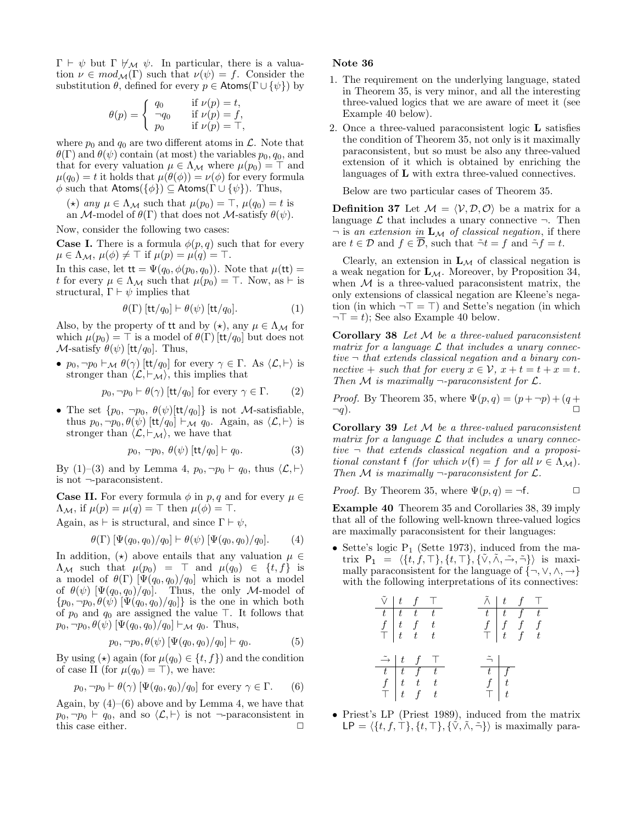$\Gamma \vdash \psi$  but  $\Gamma \not\vdash_{\mathcal{M}} \psi$ . In particular, there is a valuation  $\nu \in mod_{\mathcal{M}}(\Gamma)$  such that  $\nu(\psi) = f$ . Consider the substitution  $\theta$ , defined for every  $p \in$  Atoms( $\Gamma \cup {\psi}$ ) by

$$
\theta(p) = \begin{cases} q_0 & \text{if } \nu(p) = t, \\ \neg q_0 & \text{if } \nu(p) = f, \\ p_0 & \text{if } \nu(p) = \top, \end{cases}
$$

where  $p_0$  and  $q_0$  are two different atoms in  $\mathcal{L}$ . Note that  $\theta(\Gamma)$  and  $\theta(\psi)$  contain (at most) the variables  $p_0, q_0$ , and that for every valuation  $\mu \in \Lambda_{\mathcal{M}}$  where  $\mu(p_0) = \top$  and  $\mu(q_0) = t$  it holds that  $\mu(\theta(\phi)) = \nu(\phi)$  for every formula  $\phi$  such that Atoms( $\{\phi\}$ )  $\subseteq$  Atoms( $\Gamma \cup \{\psi\}$ ). Thus,

(\*) any  $\mu \in \Lambda_{\mathcal{M}}$  such that  $\mu(p_0) = \top$ ,  $\mu(q_0) = t$  is an M-model of  $\theta(\Gamma)$  that does not M-satisfy  $\theta(\psi)$ .

Now, consider the following two cases:

**Case I.** There is a formula  $\phi(p,q)$  such that for every  $\mu \in \Lambda_{\mathcal{M}}, \, \mu(\phi) \neq \top \text{ if } \mu(p) = \mu(q) = \top.$ 

In this case, let  $tt = \Psi(q_0, \phi(p_0, q_0))$ . Note that  $\mu(\mathsf{t}t)$  = t for every  $\mu \in \Lambda_{\mathcal{M}}$  such that  $\mu(p_0) = \top$ . Now, as  $\vdash$  is structural,  $\Gamma \vdash \psi$  implies that

$$
\theta(\Gamma) \left[ \text{tt}/q_0 \right] \vdash \theta(\psi) \left[ \text{tt}/q_0 \right]. \tag{1}
$$

Also, by the property of it and by  $(\star)$ , any  $\mu \in \Lambda_{\mathcal{M}}$  for which  $\mu(p_0) = \top$  is a model of  $\theta(\Gamma)$  [tt/q<sub>0</sub>] but does not  $\mathcal{M}$ -satisfy  $\theta(\psi)$  [tt/q<sub>0</sub>]. Thus,

•  $p_0, \neg p_0 \vdash_{\mathcal{M}} \theta(\gamma)$  [tt/q<sub>0</sub>] for every  $\gamma \in \Gamma$ . As  $\langle \mathcal{L}, \vdash \rangle$  is stronger than  $\langle \mathcal{L}, \vdash_{\mathcal{M}} \rangle$ , this implies that

$$
p_0, \neg p_0 \vdash \theta(\gamma)
$$
 [tt/q<sub>0</sub>] for every  $\gamma \in \Gamma$ . (2)

• The set  $\{p_0, \neg p_0, \theta(\psi)[\text{tt}/q_0]\}$  is not *M*-satisfiable, thus  $p_0, \neg p_0, \theta(\psi)$  [tt/q<sub>0</sub>]  $\vdash_{\mathcal{M}} q_0$ . Again, as  $\langle \mathcal{L}, \vdash \rangle$  is stronger than  $\langle \mathcal{L}, \vdash_{\mathcal{M}} \rangle$ , we have that

$$
p_0, \neg p_0, \theta(\psi) \left[ \frac{\text{tt}}{q_0} \right] \vdash q_0. \tag{3}
$$

By (1)–(3) and by Lemma 4,  $p_0, \neg p_0 \vdash q_0$ , thus  $\langle \mathcal{L}, \vdash \rangle$ is not ¬-paraconsistent.

**Case II.** For every formula  $\phi$  in p, q and for every  $\mu \in$  $\Lambda_{\mathcal{M}}$ , if  $\mu(p) = \mu(q) = \top$  then  $\mu(\phi) = \top$ .

Again, as  $\vdash$  is structural, and since  $\Gamma \vdash \psi$ ,

$$
\theta(\Gamma) [\Psi(q_0, q_0)/q_0] \vdash \theta(\psi) [\Psi(q_0, q_0)/q_0]. \tag{4}
$$

In addition,  $(\star)$  above entails that any valuation  $\mu \in$  $\Lambda_{\mathcal{M}}$  such that  $\mu(p_0) = \top$  and  $\mu(q_0) \in \{t, f\}$  is a model of  $\theta(\Gamma)$  [ $\Psi(q_0, q_0)/q_0$ ] which is not a model of  $\theta(\psi)$  [ $\Psi(q_0, q_0)/q_0$ ]. Thus, the only M-model of  ${p_0, \neg p_0, \theta(\psi) \, [\Psi(q_0, q_0)/q_0]}$  is the one in which both of  $p_0$  and  $q_0$  are assigned the value  $\top$ . It follows that  $p_0, \neg p_0, \theta(\psi) \left[ \Psi(q_0, q_0) / q_0 \right] \vdash_{\mathcal{M}} q_0$ . Thus,

$$
p_0, \neg p_0, \theta(\psi) \left[ \Psi(q_0, q_0) / q_0 \right] \vdash q_0. \tag{5}
$$

By using ( $\star$ ) again (for  $\mu(q_0) \in \{t, f\}$ ) and the condition of case II (for  $\mu(q_0) = \top$ ), we have:

$$
p_0, \neg p_0 \vdash \theta(\gamma) \left[ \Psi(q_0, q_0) / q_0 \right]
$$
 for every  $\gamma \in \Gamma$ . (6)

Again, by  $(4)$ – $(6)$  above and by Lemma 4, we have that  $p_0, \neg p_0 \vdash q_0$ , and so  $\langle \mathcal{L}, \vdash \rangle$  is not  $\neg$ -paraconsistent in this case either.  $\Box$ 

## Note 36

- 1. The requirement on the underlying language, stated in Theorem 35, is very minor, and all the interesting three-valued logics that we are aware of meet it (see Example 40 below).
- 2. Once a three-valued paraconsistent logic L satisfies the condition of Theorem 35, not only is it maximally paraconsistent, but so must be also any three-valued extension of it which is obtained by enriching the languages of L with extra three-valued connectives.

Below are two particular cases of Theorem 35.

**Definition 37** Let  $\mathcal{M} = \langle \mathcal{V}, \mathcal{D}, \mathcal{O} \rangle$  be a matrix for a language  $\mathcal L$  that includes a unary connective  $\neg$ . Then  $\neg$  is an extension in  $\mathbf{L}_{\mathcal{M}}$  of classical negation, if there are  $t \in \mathcal{D}$  and  $f \in \overline{\mathcal{D}}$ , such that  $\tilde{\neg} t = f$  and  $\tilde{\neg} f = t$ .

Clearly, an extension in  $L_M$  of classical negation is a weak negation for  $L_M$ . Moreover, by Proposition 34, when  $M$  is a three-valued paraconsistent matrix, the only extensions of classical negation are Kleene's negation (in which  $\neg \top = \top$ ) and Sette's negation (in which  $\neg$  = t); See also Example 40 below.

Corollary 38 Let  $M$  be a three-valued paraconsistent matrix for a language  $\mathcal L$  that includes a unary connective  $\neg$  that extends classical negation and a binary connective + such that for every  $x \in \mathcal{V}$ ,  $x + t = t + x = t$ . Then M is maximally  $\neg$ -paraconsistent for  $\mathcal{L}$ .

*Proof.* By Theorem 35, where  $\Psi(p,q) = (p + \neg p) + (q + \neg p)$  $\neg q$ ).

**Corollary 39** Let  $M$  be a three-valued paraconsistent matrix for a language  $\mathcal L$  that includes a unary connective  $\neg$  that extends classical negation and a propositional constant f (for which  $\nu(f) = f$  for all  $\nu \in \Lambda_{\mathcal{M}}$ ). Then M is maximally  $\neg$ -paraconsistent for  $\mathcal{L}$ .

*Proof.* By Theorem 35, where  $\Psi(p,q) = \neg f$ .  $\Box$ 

Example 40 Theorem 35 and Corollaries 38, 39 imply that all of the following well-known three-valued logics are maximally paraconsistent for their languages:

• Sette's logic  $P_1$  (Sette 1973), induced from the matrix  $P_1 = \langle \{t, f, \top\}, \{t, \top\}, \{\tilde{\vee}, \tilde{\wedge}, \tilde{\rightarrow}, \tilde{\tau}\} \rangle$  is maximally paraconsistent for the language of  $\{\neg, \vee, \wedge, \rightarrow\}$ with the following interpretations of its connectives:

$$
\begin{array}{c|ccccc}\n\tilde{\vee} & t & f & \top & & \tilde{\wedge} & t & f & \top \\
\hline\nt & t & t & t & & & & t & t & f & t \\
f & t & f & t & & & & & f & f & f & f \\
\hline\n\end{array}
$$
\n
$$
\begin{array}{c|ccccc}\n\tilde{\wedge} & t & f & \top & & & & f & f & f \\
f & f & f & f & f & & & & f & f \\
\hline\n\end{array}
$$
\n
$$
\begin{array}{c|ccccc}\n\tilde{\rightarrow} & t & f & \top & & & & \tilde{\rightarrow} & & \\
\hline\nt & t & f & t & & & & f & f \\
f & t & t & t & & & & f & f \\
\hline\n\end{array}
$$

• Priest's LP (Priest 1989), induced from the matrix  $\mathsf{LP} = \langle \{t, f, \top\}, \{t, \top\}, \{\tilde{\vee}, \tilde{\wedge}, \tilde{\neg}\} \rangle$  is maximally para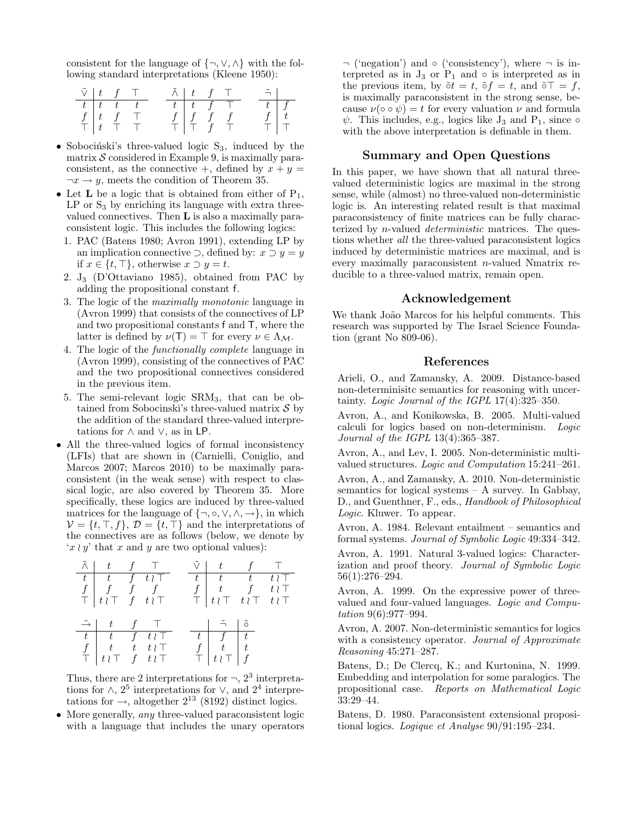consistent for the language of  $\{\neg, \vee, \wedge\}$  with the following standard interpretations (Kleene 1950):

| $\tilde{\vee}$   t f T |                                                        |  |  | $\tilde{\wedge}$   t   f   $\top$ |  | $\tilde{=}$ |  |
|------------------------|--------------------------------------------------------|--|--|-----------------------------------|--|-------------|--|
| $-t$                   | $t$ $t$ $t$                                            |  |  | $t$ $t$ $f$ $\top$                |  | $t$   $f$   |  |
|                        | $f \mid t \quad f \quad \top$                          |  |  | $f \mid f \mid f \mid f$          |  |             |  |
|                        | $\top$ $\begin{bmatrix} t & \top & \top \end{bmatrix}$ |  |  | $\bot$ $\top$ $f$                 |  |             |  |

- Sobociński's three-valued logic  $S_3$ , induced by the matrix  $S$  considered in Example 9, is maximally paraconsistent, as the connective +, defined by  $x + y =$  $\neg x \rightarrow y$ , meets the condition of Theorem 35.
- Let  $L$  be a logic that is obtained from either of  $P_1$ ,  $LP$  or  $S_3$  by enriching its language with extra threevalued connectives. Then  $L$  is also a maximally paraconsistent logic. This includes the following logics:
	- 1. PAC (Batens 1980; Avron 1991), extending LP by an implication connective  $\supset$ , defined by:  $x \supset y = y$ if  $x \in \{t, \top\}$ , otherwise  $x \supset y = t$ .
	- 2. J<sup>3</sup> (D'Ottaviano 1985), obtained from PAC by adding the propositional constant f.
	- 3. The logic of the maximally monotonic language in (Avron 1999) that consists of the connectives of LP and two propositional constants f and T, where the latter is defined by  $\nu(T) = \top$  for every  $\nu \in \Lambda_{\mathcal{M}}$ .
	- 4. The logic of the functionally complete language in (Avron 1999), consisting of the connectives of PAC and the two propositional connectives considered in the previous item.
	- 5. The semi-relevant logic SRM3, that can be obtained from Sobocinski's three-valued matrix  $\mathcal S$  by the addition of the standard three-valued interpretations for  $\land$  and  $\lor$ , as in LP.
- All the three-valued logics of formal inconsistency (LFIs) that are shown in (Carnielli, Coniglio, and Marcos 2007; Marcos 2010) to be maximally paraconsistent (in the weak sense) with respect to classical logic, are also covered by Theorem 35. More specifically, these logics are induced by three-valued matrices for the language of  $\{\neg, \circ, \vee, \wedge, \rightarrow\}$ , in which  $V = \{t, \top, f\}, \mathcal{D} = \{t, \top\}$  and the interpretations of the connectives are as follows (below, we denote by 'x  $y'$  that x and y are two optional values):

$$
\begin{array}{c|ccccc}\n\tilde{\land} & t & f & \top & \tilde{\lor} & t & f & \top \\
\hline\nt & t & f & t & \top & t & t & t & t \\
f & f & f & f & & f & t & t & f & t \\
\top & t & \top & t & \top & \top & t & \top & t & \top \\
\end{array}
$$
\n
$$
\begin{array}{c|ccccc}\n\tilde{\rightarrow} & t & f & \top & \top & & \tilde{\rightarrow} & \tilde{\circ} \\
t & t & f & t & \top & & t & f \\
\hline\nf & t & t & t & \top & & f & f \\
\end{array}
$$
\n
$$
\begin{array}{c|ccccc}\n\tilde{\rightarrow} & t & f & \top & & \tilde{\rightarrow} & \tilde{\circ} \\
t & t & t & t & \top & & t & f \\
\end{array}
$$

Thus, there are 2 interpretations for  $\neg$ ,  $2^3$  interpretations for  $\wedge$ , 2<sup>5</sup> interpretations for  $\vee$ , and 2<sup>4</sup> interpretations for  $\rightarrow$ , altogether  $2^{13}$  (8192) distinct logics.

• More generally, *any* three-valued paraconsistent logic with a language that includes the unary operators  $\neg$  ('negation') and  $\circ$  ('consistency'), where  $\neg$  is interpreted as in  $J_3$  or  $P_1$  and  $\circ$  is interpreted as in the previous item, by  $\tilde{\sigma}t = t$ ,  $\tilde{\sigma}f = t$ , and  $\tilde{\sigma}\top = f$ , is maximally paraconsistent in the strong sense, because  $\nu(\circ \circ \psi) = t$  for every valuation  $\nu$  and formula  $\psi$ . This includes, e.g., logics like  $J_3$  and  $P_1$ , since  $\circ$ with the above interpretation is definable in them.

### Summary and Open Questions

In this paper, we have shown that all natural threevalued deterministic logics are maximal in the strong sense, while (almost) no three-valued non-deterministic logic is. An interesting related result is that maximal paraconsistency of finite matrices can be fully characterized by n-valued deterministic matrices. The questions whether all the three-valued paraconsistent logics induced by deterministic matrices are maximal, and is every maximally paraconsistent n-valued Nmatrix reducible to a three-valued matrix, remain open.

### Acknowledgement

We thank João Marcos for his helpful comments. This research was supported by The Israel Science Foundation (grant No 809-06).

### References

Arieli, O., and Zamansky, A. 2009. Distance-based non-determinisitc semantics for reasoning with uncertainty. Logic Journal of the IGPL 17(4):325–350.

Avron, A., and Konikowska, B. 2005. Multi-valued calculi for logics based on non-determinism. Logic Journal of the IGPL 13(4):365–387.

Avron, A., and Lev, I. 2005. Non-deterministic multivalued structures. Logic and Computation 15:241–261.

Avron, A., and Zamansky, A. 2010. Non-deterministic semantics for logical systems – A survey. In Gabbay, D., and Guenthner, F., eds., Handbook of Philosophical Logic. Kluwer. To appear.

Avron, A. 1984. Relevant entailment – semantics and formal systems. Journal of Symbolic Logic 49:334–342.

Avron, A. 1991. Natural 3-valued logics: Characterization and proof theory. Journal of Symbolic Logic 56(1):276–294.

Avron, A. 1999. On the expressive power of threevalued and four-valued languages. Logic and Computation 9(6):977–994.

Avron, A. 2007. Non-deterministic semantics for logics with a consistency operator. Journal of Approximate Reasoning 45:271–287.

Batens, D.; De Clercq, K.; and Kurtonina, N. 1999. Embedding and interpolation for some paralogics. The propositional case. Reports on Mathematical Logic 33:29–44.

Batens, D. 1980. Paraconsistent extensional propositional logics. Logique et Analyse 90/91:195–234.